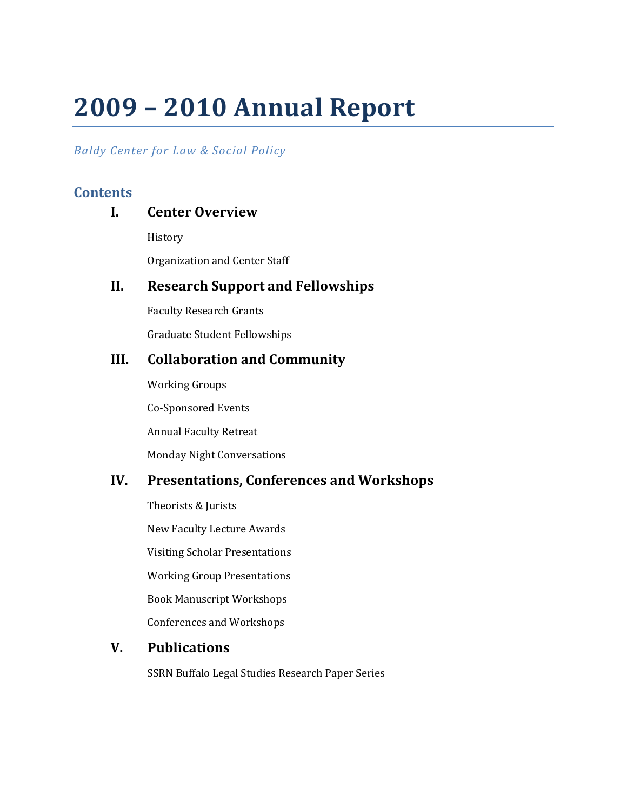# **2009 – 2010 Annual Report**

# *Baldy Center for Law & Social Policy*

# **Contents**

# **I. Center Overview**

History

Organization and Center Staff

# **II. Research Support and Fellowships**

Faculty Research Grants

Graduate Student Fellowships

# **III. Collaboration and Community**

Working Groups Co-Sponsored Events Annual Faculty Retreat Monday Night Conversations

# **IV. Presentations, Conferences and Workshops**

Theorists & Jurists New Faculty Lecture Awards Visiting Scholar Presentations Working Group Presentations Book Manuscript Workshops Conferences and Workshops

# **V. Publications**

SSRN Buffalo Legal Studies Research Paper Series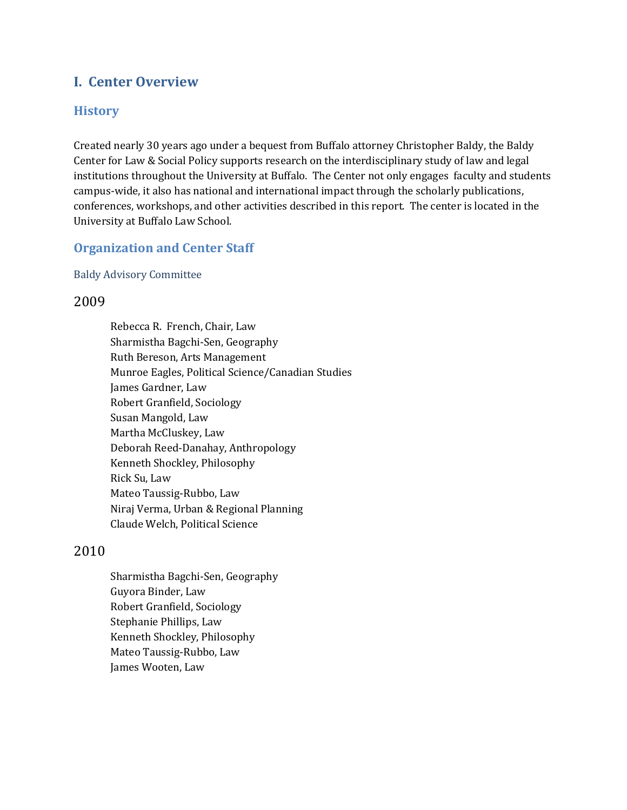# **I. Center Overview**

## **History**

Created nearly 30 years ago under a bequest from Buffalo attorney Christopher Baldy, the Baldy Center for Law & Social Policy supports research on the interdiscip linary study of law and legal institutions throughout the University at Buffalo. The Center not o nly engages faculty and students campus-wide, it also has national and international impact through the scholarly publications, conferences, workshops, and other activities described in this repo rt. The center is located in the University at Buffalo Law School.

## **Organization and Center Staff**

#### Baldy Advisory Committee

## 2009

Rebecca R. French, Chair, Law Sharmistha Bagchi-Sen, Geography Ruth Bereson, Arts Management Munroe Eagles, Political Science/Canadian Studies James Gardner, Law Robert Granfield, Sociology Susan Mangold, Law Martha McCluskey, Law Deborah Reed-Danahay, Anthropology Kenneth Shockley, Philosophy Rick Su, Law Mateo Taussig-Rubbo, Law Niraj Verma, Urban & Regional Planning Claude Welch, Political Science

## 2010

Sharmistha Bagchi-Sen, Geography Guyora Binder, Law Robert Granfield, Sociology Stephanie Phillips, Law Kenneth Shockley, Philosophy Mateo Taussig-Rubbo, Law James Wooten, Law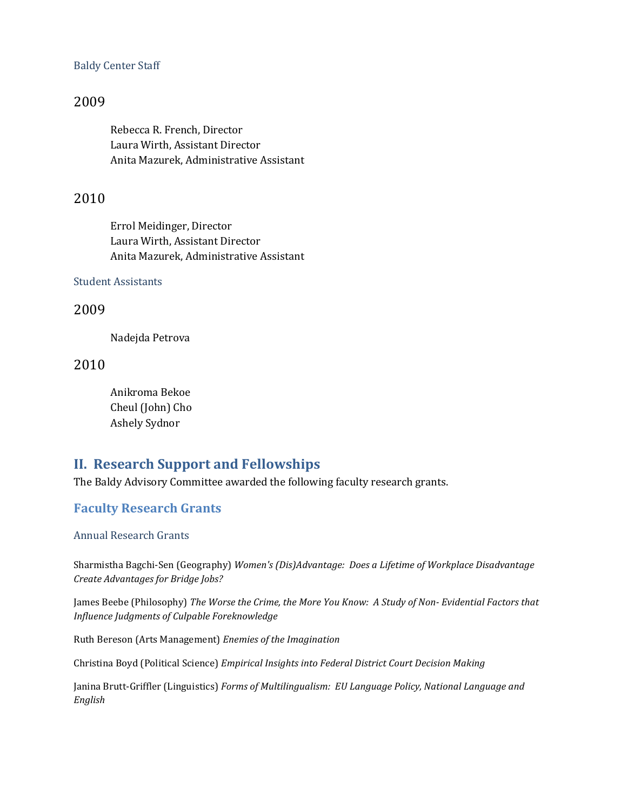#### Baldy Center Staff

## 2009

Rebecca R. French, Director Laura Wirth, Assistant Director Anita Mazurek, Administrative Assistant

## 2010

Errol Meidinger, Director Laura Wirth, Assistant Director Anita Mazurek, Administrative Assistant

#### Student Assistants

## 2009

Nadejda Petrova

2010

Anikroma Bekoe Cheul (John) Cho Ashely Sydnor

# **II. Research Support and Fellowships**

The Baldy Advisory Committee awarded the following faculty research grants.

## **Faculty Research Grants**

#### Annual Research Grants

Sharmistha Bagchi-Sen (Geography) *Women's (Dis)Advantage: Does a Lifetime of Workplace Disadvantage Create Advantages for Bridge Jobs?*

James Beebe (Philosophy) *The Worse the Crime, the More You Know: A Study of Non- Evidential Factors that Influence Judgments of Culpable Foreknowledge* 

Ruth Bereson (Arts Management) *Enemies of the Imagination*

Christina Boyd (Political Science) *Empirical Insights into Federal District Court Decision Making*

Janina Brutt-Griffler (Linguistics) *Forms of Multilingualism: EU Language Policy, National Language and English*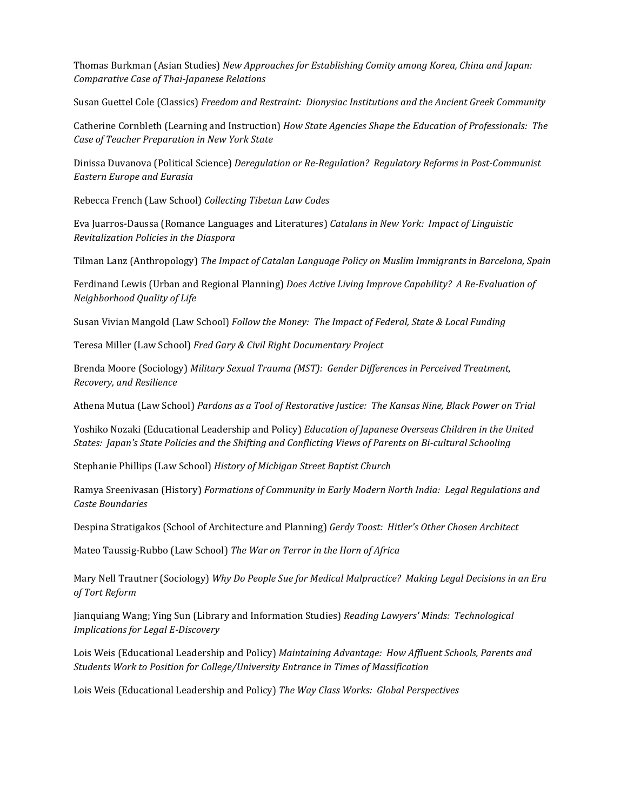Thomas Burkman (Asian Studies) *New Approaches for Establishing Comity among Korea, China and Japan: Comparative Case of Thai-Japanese Relations*

Susan Guettel Cole (Classics) *Freedom and Restraint: Dionysiac Institutions and the Ancient Greek Community*

Catherine Cornbleth (Learning and Instruction) *How State Agencies Shape the Education of Professionals: The Case of Teacher Preparation in New York State*

Dinissa Duvanova (Political Science) *Deregulation or Re-Regulation? Regulatory Reforms in Post-Communist Eastern Europe and Eurasia*

Rebecca French (Law School) *Collecting Tibetan Law Codes*

Eva Juarros-Daussa (Romance Languages and Literatures) *Catalans in New York: Impact of Linguistic Revitalization Policies in the Diaspora*

Tilman Lanz (Anthropology) *The Impact of Catalan Language Policy on Muslim Immigrants in Barcelona, Spain*

Ferdinand Lewis (Urban and Regional Planning) *Does Active Living Improve Capability? A Re-Evaluation of Neighborhood Quality of Life*

Susan Vivian Mangold (Law School) *Follow the Money: The Impact of Federal, State & Local Funding*

Teresa Miller (Law School) *Fred Gary & Civil Right Documentary Project*

Brenda Moore (Sociology) *Military Sexual Trauma (MST): Gender Differences in Perceived Treatment, Recovery, and Resilience*

Athena Mutua (Law School) *Pardons as a Tool of Restorative Justice: The Kansas Nine, Black Power on Trial*

Yoshiko Nozaki (Educational Leadership and Policy) *Education of Japanese Overseas Children in the United States: Japan's State Policies and the Shifting and Conflicting Views of Parents on Bi-cultural Schooling*

Stephanie Phillips (Law School) *History of Michigan Street Baptist Church*

Ramya Sreenivasan (History) *Formations of Community in Early Modern North India: Legal Regulations and Caste Boundaries*

Despina Stratigakos (School of Architecture and Planning) *Gerdy Toost: Hitler's Other Chosen Architect*

Mateo Taussig-Rubbo (Law School) *The War on Terror in the Horn of Africa*

Mary Nell Trautner (Sociology) *Why Do People Sue for Medical Malpractice? Making Legal Decisions in an Era of Tort Reform*

Jianquiang Wang; Ying Sun (Library and Information Studies) *Reading Lawyers' Minds: Technological Implications for Legal E-Discovery*

Lois Weis (Educational Leadership and Policy) *Maintaining Advantage: How Affluent Schools, Parents and Students Work to Position for College/University Entrance in Times of Massification*

Lois Weis (Educational Leadership and Policy) *The Way Class Works: Global Perspectives*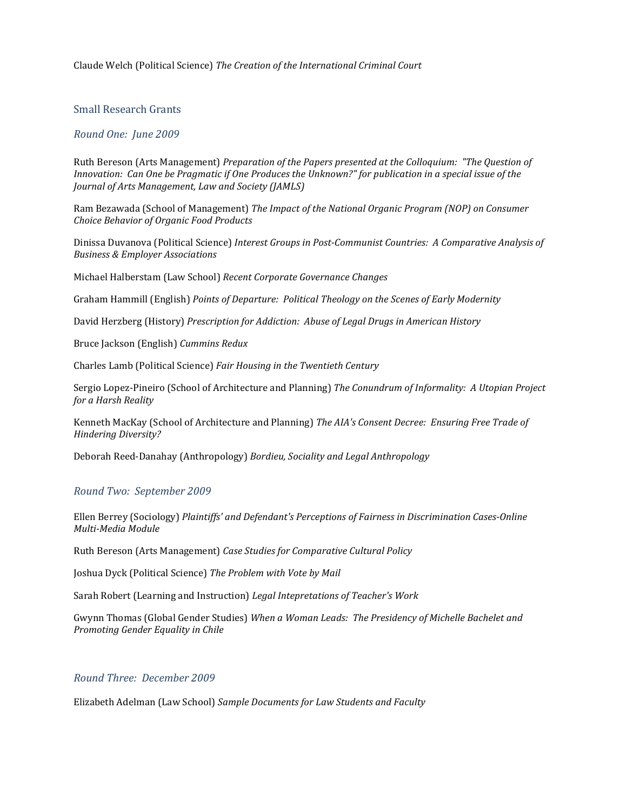#### Claude Welch (Political Science) *The Creation of the International Criminal Court*

#### Small Research Grants

#### *Round One: June 2009*

Ruth Bereson (Arts Management) *Preparation of the Papers presented at the Colloquium: "The Question of Innovation: Can One be Pragmatic if One Produces the Unknown?" for publication in a special issue of the Journal of Arts Management, Law and Society (JAMLS)*

Ram Bezawada (School of Management) *The Impact of the National Organic Program (NOP) on Consumer Choice Behavior of Organic Food Products*

Dinissa Duvanova (Political Science) *Interest Groups in Post-Communist Countries: A Comparative Analysis of Business & Employer Associations*

Michael Halberstam (Law School) *Recent Corporate Governance Changes*

Graham Hammill (English) *Points of Departure: Political Theology on the Scenes of Early Modernity*

David Herzberg (History) *Prescription for Addiction: Abuse of Legal Drugs in American History*

Bruce Jackson (English) *Cummins Redux*

Charles Lamb (Political Science) *Fair Housing in the Twentieth Century*

Sergio Lopez-Pineiro (School of Architecture and Planning) *The Conundrum of Informality: A Utopian Project for a Harsh Reality*

Kenneth MacKay (School of Architecture and Planning) *The AIA's Consent Decree: Ensuring Free Trade of Hindering Diversity?*

Deborah Reed-Danahay (Anthropology) *Bordieu, Sociality and Legal Anthropology*

#### *Round Two: September 2009*

Ellen Berrey (Sociology) *Plaintiffs' and Defendant's Perceptions of Fairness in Discrimination Cases-Online Multi-Media Module*

Ruth Bereson (Arts Management) *Case Studies for Comparative Cultural Policy*

Joshua Dyck (Political Science) *The Problem with Vote by Mail*

Sarah Robert (Learning and Instruction) *Legal Intepretations of Teacher's Work*

Gwynn Thomas (Global Gender Studies) *When a Woman Leads: The Presidency of Michelle Bachelet and Promoting Gender Equality in Chile*

#### *Round Three: December 2009*

Elizabeth Adelman (Law School) *Sample Documents for Law Students and Faculty*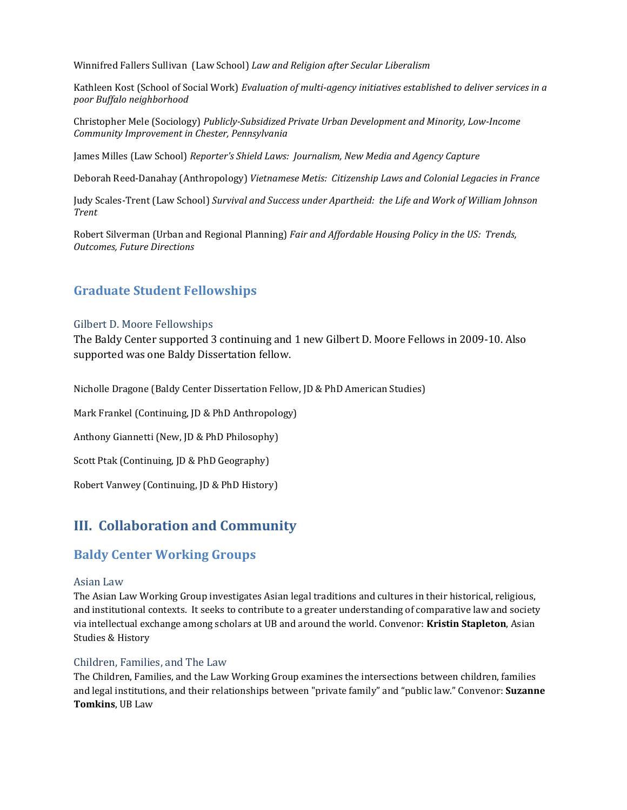Winnifred Fallers Sullivan (Law School) *Law and Religion after Secular Liberalism*

Kathleen Kost (School of Social Work) *Evaluation of multi-agency initiatives established to deliver services in a poor Buffalo neighborhood*

Christopher Mele (Sociology) *Publicly-Subsidized Private Urban Development and Minority, Low-Income Community Improvement in Chester, Pennsylvania*

James Milles (Law School) *Reporter's Shield Laws: Journalism, New Media and Agency Capture*

Deborah Reed-Danahay (Anthropology) *Vietnamese Metis: Citizenship Laws and Colonial Legacies in France*

Judy Scales-Trent (Law School) *Survival and Success under Apartheid: the Life and Work of William Johnson Trent* 

Robert Silverman (Urban and Regional Planning) *Fair and Affordable Housing Policy in the US: Trends, Outcomes, Future Directions*

## **Graduate Student Fellowships**

#### Gilbert D. Moore Fellowships

The Baldy Center supported 3 continuing and 1 new Gilbert D. Moore Fello ws in 2009-10. Also supported was one Baldy Dissertation fellow.

Nicholle Dragone (Baldy Center Dissertation Fellow, JD & PhD American Studies)

Mark Frankel (Continuing, JD & PhD Anthropology)

Anthony Giannetti (New, JD & PhD Philosophy)

Scott Ptak (Continuing, JD & PhD Geography)

Robert Vanwey (Continuing, JD & PhD History)

# **III. Collaboration and Community**

## **Baldy Center Working Groups**

#### Asian Law

The Asian Law Working Group investigates Asian legal traditions and cultures in their historical, religious, and institutional contexts. It seeks to contribute to a greater understanding of comparative law and society via intellectual exchange among scholars at UB and around the world. Convenor: **Kristin Stapleton**, Asian Studies & History

#### Children, Families, and The Law

The Children, Families, and the Law Working Group examines the intersections between children, families and legal institutions, and their relationships between "private family" and "public law." Convenor: **Suzanne Tomkins**, UB Law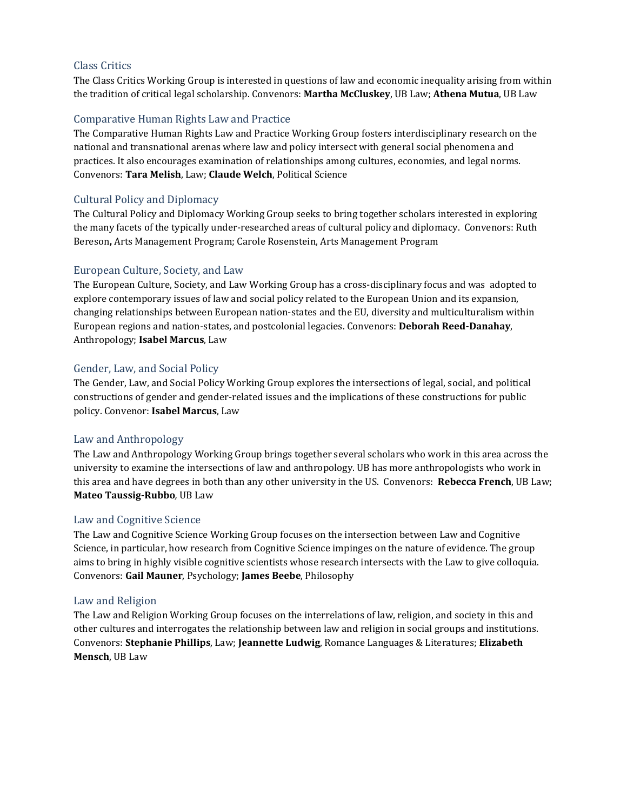#### Class Critics

The Class Critics Working Group is interested in questions of law and economic inequality arising from within the tradition of critical legal scholarship. Convenors: **Martha McCluskey**, UB Law; **Athena Mutua**, UB Law

#### Comparative Human Rights Law and Practice

The Comparative Human Rights Law and Practice Working Group fosters interdisciplinary research on the national and transnational arenas where law and policy intersect with general social phenomena and practices. It also encourages examination of relationships among cultures, economies, and legal norms. Convenors: **Tara Melish**, Law; **Claude Welch**, Political Science

#### Cultural Policy and Diplomacy

The Cultural Policy and Diplomacy Working Group seeks to bring together scholars interested in exploring the many facets of the typically under-researched areas of cultural policy and diplomacy. Convenors: Ruth Bereson**,** Arts Management Program; Carole Rosenstein, Arts Management Program

#### European Culture, Society, and Law

The European Culture, Society, and Law Working Group has a cross-disciplinary focus and was adopted to explore contemporary issues of law and social policy related to the European Union and its expansion, changing relationships between European nation-states and the EU, diversity and multiculturalism within European regions and nation-states, and postcolonial legacies. Convenors: **Deborah Reed-Danahay**, Anthropology; **Isabel Marcus**, Law

#### Gender, Law, and Social Policy

The Gender, Law, and Social Policy Working Group explores the intersections of legal, social, and political constructions of gender and gender-related issues and the implications of these constructions for public policy. Convenor: **Isabel Marcus**, Law

#### Law and Anthropology

The Law and Anthropology Working Group brings together several scholars who work in this area across the university to examine the intersections of law and anthropology. UB has more anthropologists who work in this area and have degrees in both than any other university in the US. Convenors: **Rebecca French**, UB Law; **Mateo Taussig-Rubbo***,* UB Law

#### Law and Cognitive Science

The Law and Cognitive Science Working Group focuses on the intersection between Law and Cognitive Science, in particular, how research from Cognitive Science impinges on the nature of evidence. The group aims to bring in highly visible cognitive scientists whose research intersects with the Law to give colloquia. Convenors: **Gail Mauner**, Psychology; **James Beebe**, Philosophy

#### Law and Religion

The Law and Religion Working Group focuses on the interrelations of law, religion, and society in this and other cultures and interrogates the relationship between law and religion in social groups and institutions. Convenors: **Stephanie Phillips**, Law; **Jeannette Ludwig**, Romance Languages & Literatures; **Elizabeth Mensch**, UB Law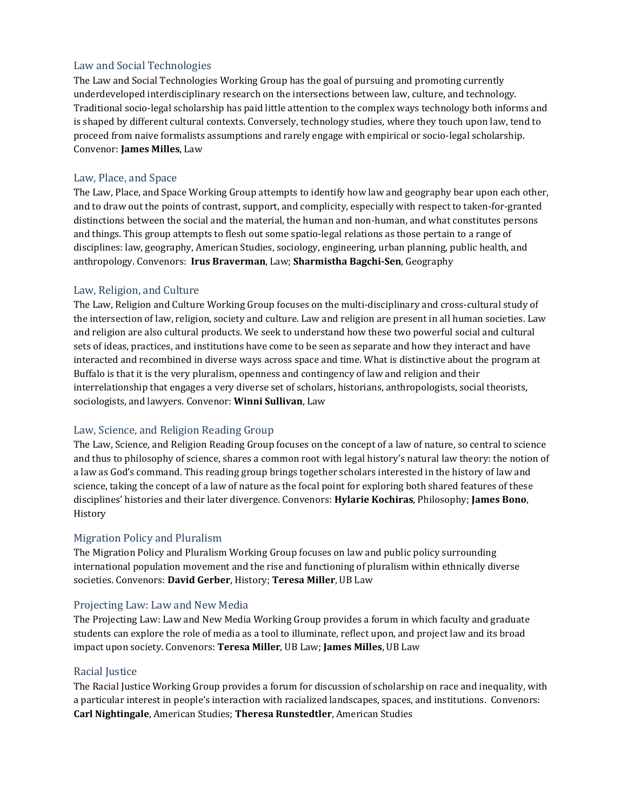#### Law and Social Technologies

The Law and Social Technologies Working Group has the goal of pursuing and promoting currently underdeveloped interdisciplinary research on the intersections between law, culture, and technology. Traditional socio-legal scholarship has paid little attention to the complex ways technology both informs and is shaped by different cultural contexts. Conversely, technology studies, where they touch upon law, tend to proceed from naive formalists assumptions and rarely engage with empirical or socio-legal scholarship. Convenor: **James Milles**, Law

#### Law, Place, and Space

The Law, Place, and Space Working Group attempts to identify how law and geography bear upon each other, and to draw out the points of contrast, support, and complicity, especially with respect to taken-for-granted distinctions between the social and the material, the human and non-human, and what constitutes persons and things. This group attempts to flesh out some spatio-legal relations as those pertain to a range of disciplines: law, geography, American Studies, sociology, engineering, urban planning, public health, and anthropology. Convenors: **Irus Braverman**, Law; **Sharmistha Bagchi-Sen**, Geography

#### Law, Religion, and Culture

The Law, Religion and Culture Working Group focuses on the multi-disciplinary and cross-cultural study of the intersection of law, religion, society and culture. Law and religion are present in all human societies. Law and religion are also cultural products. We seek to understand how these two powerful social and cultural sets of ideas, practices, and institutions have come to be seen as separate and how they interact and have interacted and recombined in diverse ways across space and time. What is distinctive about the program at Buffalo is that it is the very pluralism, openness and contingency of law and religion and their interrelationship that engages a very diverse set of scholars, historians, anthropologists, social theorists, sociologists, and lawyers. Convenor: **Winni Sullivan**, Law

#### Law, Science, and Religion Reading Group

The Law, Science, and Religion Reading Group focuses on the concept of a law of nature, so central to science and thus to philosophy of science, shares a common root with legal history's natural law theory: the notion of a law as God's command. This reading group brings together scholars interested in the history of law and science, taking the concept of a law of nature as the focal point for exploring both shared features of these disciplines' histories and their later divergence. Convenors: **Hylarie Kochiras**, Philosophy; **James Bono**, History

#### Migration Policy and Pluralism

The Migration Policy and Pluralism Working Group focuses on law and public policy surrounding international population movement and the rise and functioning of pluralism within ethnically diverse societies. Convenors: **David Gerber**, History; **Teresa Miller**, UB Law

#### Projecting Law: Law and New Media

The Projecting Law: Law and New Media Working Group provides a forum in which faculty and graduate students can explore the role of media as a tool to illuminate, reflect upon, and project law and its broad impact upon society. Convenors: **Teresa Miller**, UB Law; **James Milles**, UB Law

#### Racial Justice

The Racial Justice Working Group provides a forum for discussion of scholarship on race and inequality, with a particular interest in people's interaction with racialized landscapes, spaces, and institutions. Convenors: **Carl Nightingale**, American Studies; **Theresa Runstedtler**, American Studies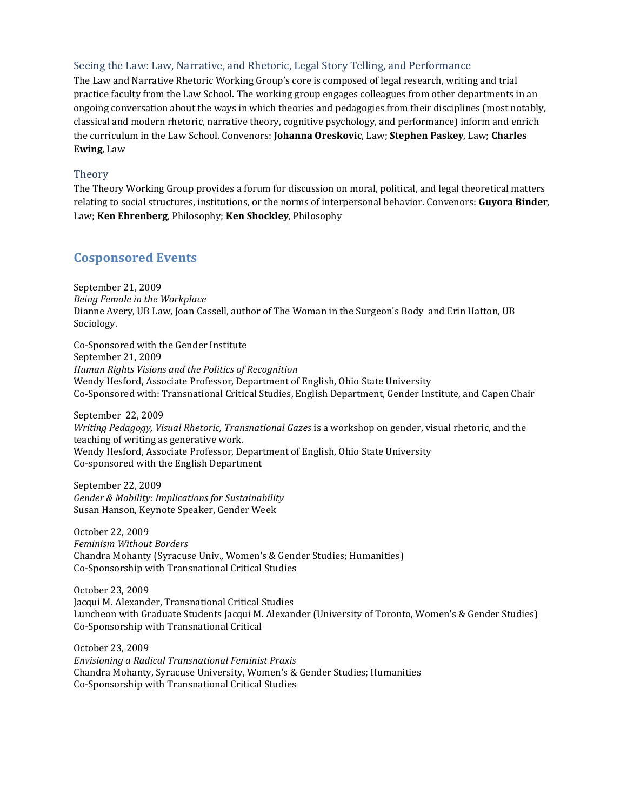#### Seeing the Law: Law, Narrative, and Rhetoric, Legal Story Telling, and Performance

The Law and Narrative Rhetoric Working Group's core is composed of legal research, writing and trial practice faculty from the Law School. The working group engages colleagues from other departments in an ongoing conversation about the ways in which theories and pedagogies from their disciplines (most notably, classical and modern rhetoric, narrative theory, cognitive psychology, and performance) inform and enrich the curriculum in the Law School. Convenors: **Johanna Oreskovic**, Law; **Stephen Paskey**, Law; **Charles Ewing**, Law

#### Theory

The Theory Working Group provides a forum for discussion on moral, political, and legal theoretical matters relating to social structures, institutions, or the norms of interpersonal behavior. Convenors: **Guyora Binder**, Law; **Ken Ehrenberg**, Philosophy; **Ken Shockley**, Philosophy

## **Cosponsored Events**

September 21, 2009 *Being Female in the Workplace* Dianne Avery, UB Law, Joan Cassell, author of The Woman in the Surgeon's Body and Erin Hatton, UB Sociology.

Co-Sponsored with the Gender Institute September 21, 2009 *Human Rights Visions and the Politics of Recognition* Wendy Hesford, Associate Professor, Department of English, Ohio State University Co-Sponsored with: Transnational Critical Studies, English Department, Gender Institute, and Capen Chair

September 22, 2009 *Writing Pedagogy, Visual Rhetoric, Transnational Gazes* is a workshop on gender, visual rhetoric, and the teaching of writing as generative work. Wendy Hesford, Associate Professor, Department of English, Ohio State University Co-sponsored with the English Department

September 22, 2009 *Gender & Mobility: Implications for Sustainability* Susan Hanson*,* Keynote Speaker, Gender Week

October 22, 2009 *Feminism Without Borders* Chandra Mohanty (Syracuse Univ., Women's & Gender Studies; Humanities) Co-Sponsorship with Transnational Critical Studies

October 23, 2009 Jacqui M. Alexander, Transnational Critical Studies Luncheon with Graduate Students Jacqui M. Alexander (University of Toronto, Women's & Gender Studies) Co-Sponsorship with Transnational Critical

October 23, 2009 *Envisioning a Radical Transnational Feminist Praxis* Chandra Mohanty, Syracuse University, Women's & Gender Studies; Humanities Co-Sponsorship with Transnational Critical Studies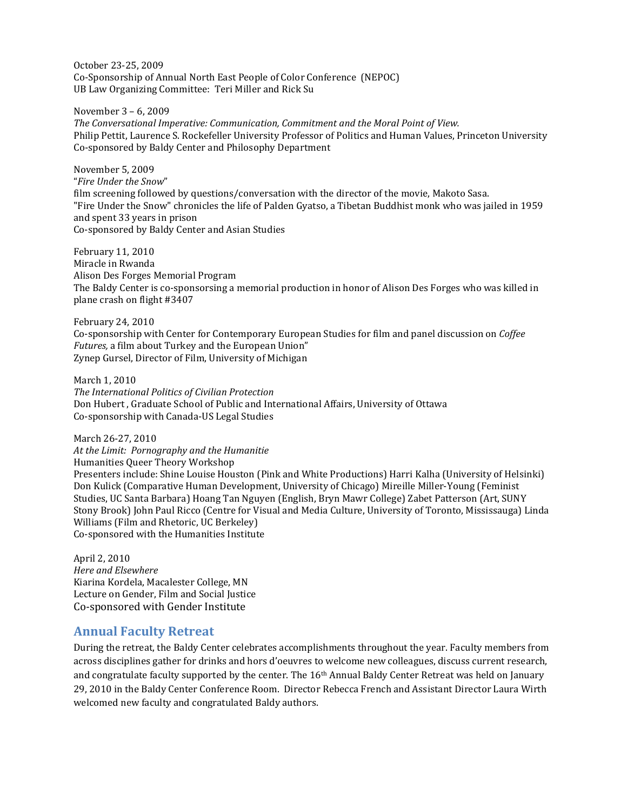October 23-25, 2009 Co-Sponsorship of Annual North East People of Color Conference (NEPOC) UB Law Organizing Committee: Teri Miller and Rick Su

November 3 – 6, 2009

*The Conversational Imperative: Communication, Commitment and the Moral Point of View.* Philip Pettit, Laurence S. Rockefeller University Professor of Politics and Human Values, Princeton University Co-sponsored by Baldy Center and Philosophy Department

November 5, 2009 "*Fire Under the Snow*" film screening followed by questions/conversation with the director of the movie, Makoto Sasa. "Fire Under the Snow" chronicles the life of Palden Gyatso, a Tibetan Buddhist monk who was jailed in 1959 and spent 33 years in prison Co-sponsored by Baldy Center and Asian Studies

February 11, 2010 Miracle in Rwanda Alison Des Forges Memorial Program The Baldy Center is co-sponsorsing a memorial production in honor of Alison Des Forges who was killed in plane crash on flight #3407

February 24, 2010 Co-sponsorship with Center for Contemporary European Studies for film and panel discussion on *Coffee Futures,* a film about Turkey and the European Union" Zynep Gursel, Director of Film, University of Michigan

March 1, 2010 *The International Politics of Civilian Protection* Don Hubert , Graduate School of Public and International Affairs, University of Ottawa Co-sponsorship with Canada-US Legal Studies

March 26-27, 2010 *At the Limit: Pornography and the Humanitie* Humanities Queer Theory Workshop Presenters include: Shine Louise Houston (Pink and White Productions) Harri Kalha (University of Helsinki) Don Kulick (Comparative Human Development, University of Chicago) Mireille Miller-Young (Feminist Studies, UC Santa Barbara) Hoang Tan Nguyen (English, Bryn Mawr College) Zabet Patterson (Art, SUNY Stony Brook) John Paul Ricco (Centre for Visual and Media Culture, University of Toronto, Mississauga) Linda Williams (Film and Rhetoric, UC Berkeley) Co-sponsored with the Humanities Institute

April 2, 2010 *Here and Elsewhere* Kiarina Kordela, Macalester College, MN Lecture on Gender, Film and Social Justice Co-sponsored with Gender Institute

## **Annual Faculty Retreat**

During the retreat, the Baldy Center celebrates accomplishments throughout the year. Faculty members from across disciplines gather for drinks and hors d'oeuvres to welcome new colleagues, discuss current research, and congratulate faculty supported by the center. The  $16<sup>th</sup>$  Annual Baldy Center Retreat was held on January 29, 2010 in the Baldy Center Conference Room. Director Rebecca French and Assistant Director Laura Wirth welcomed new faculty and congratulated Baldy authors.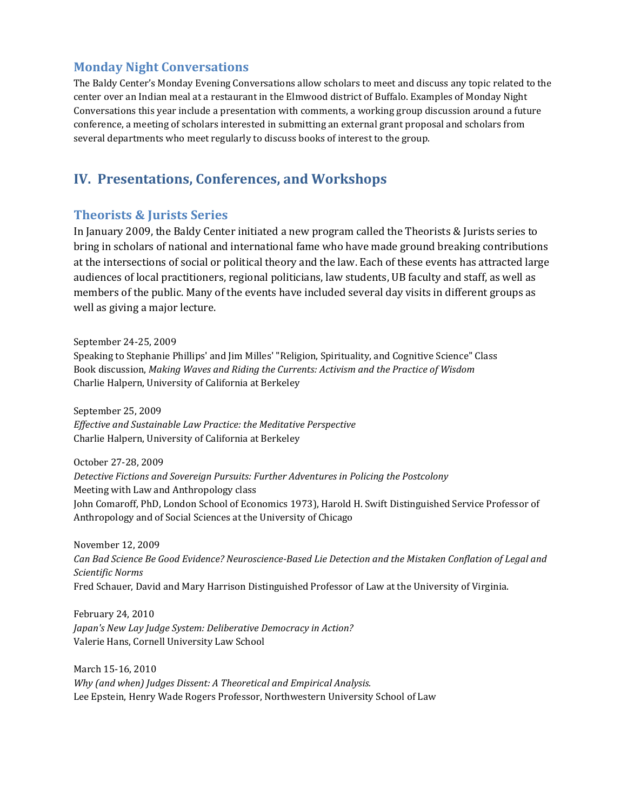## **Monday Night Conversations**

The Baldy Center's Monday Evening Conversations allow scholars to meet and discuss any topic related to the center over an Indian meal at a restaurant in the Elmwood district of Buffalo. Examples of Monday Night Conversations this year include a presentation with comments, a working group discussion around a future conference, a meeting of scholars interested in submitting an external grant proposal and scholars from several departments who meet regularly to discuss books of interest to the group.

## **IV. Presentations, Conferences, and Workshops**

#### **Theorists & Jurists Series**

In January 2009, the Baldy Center initiated a new program called the Theorists & Jurists series to bring in scholars of national and international fame who have made ground breaking contributions at the intersections of social or political theory and the law. Each of these events has attracted large audiences of local practitioners, regional politicians, law students, UB faculty and staff, as well as members of the public. Many of the events have included several day visits in different groups as well as giving a major lecture.

September 24-25, 2009 Speaking to Stephanie Phillips' and Jim Milles' "Religion, Spirituality, and Cognitive Science" Class Book discussion, *Making Waves and Riding the Currents: Activism and the Practice of Wisdom* Charlie Halpern, University of California at Berkeley

September 25, 2009 *Effective and Sustainable Law Practice: the Meditative Perspective* Charlie Halpern, University of California at Berkeley

October 27-28, 2009 *Detective Fictions and Sovereign Pursuits: Further Adventures in Policing the Postcolony*  Meeting with Law and Anthropology class John Comaroff, PhD, London School of Economics 1973), Harold H. Swift Distinguished Service Professor of Anthropology and of Social Sciences at the University of Chicago

November 12, 2009 *Can Bad Science Be Good Evidence? Neuroscience-Based Lie Detection and the Mistaken Conflation of Legal and Scientific Norms* Fred Schauer, David and Mary Harrison Distinguished Professor of Law at the University of Virginia.

February 24, 2010 *Japan's New Lay Judge System: Deliberative Democracy in Action?* Valerie Hans, Cornell University Law School

March 15-16, 2010 *Why (and when) Judges Dissent: A Theoretical and Empirical Analysis.* Lee Epstein, Henry Wade Rogers Professor, Northwestern University School of Law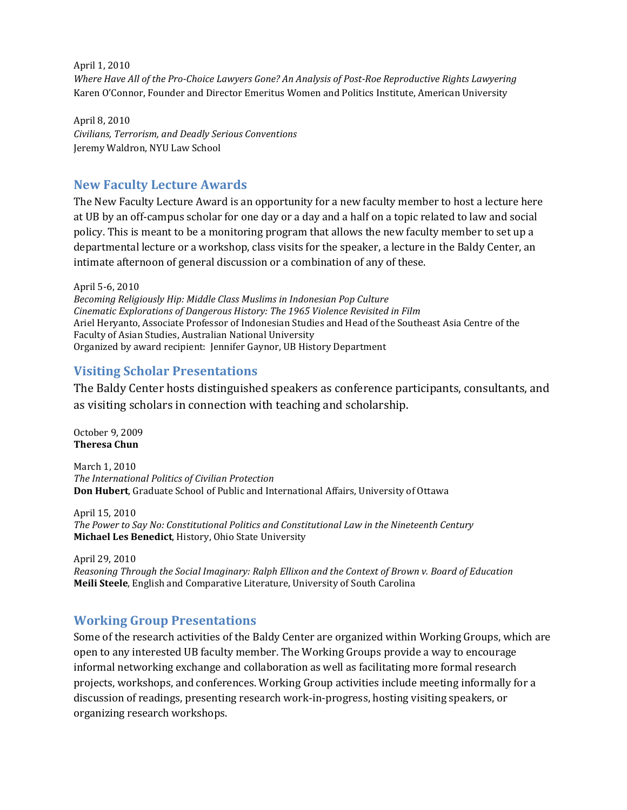April 1, 2010 *Where Have All of the Pro-Choice Lawyers Gone? An Analysis of Post-Roe Reproductive Rights Lawyering* Karen O'Connor, Founder and Director Emeritus Women and Politics Institute, American University

April 8, 2010 *Civilians, Terrorism, and Deadly Serious Conventions* Jeremy Waldron, NYU Law School

## **New Faculty Lecture Awards**

The New Faculty Lecture Award is an opportunity for a new faculty member to host a lecture here at UB by an off-campus scholar for one day or a day and a half on a topic related to law and social policy. This is meant to be a monitoring program that allows the new faculty member to set up a departmental lecture or a workshop, class visits for the speaker, a lecture in the Baldy Center, an intimate afternoon of general discussion or a combination of any of these.

April 5-6, 2010 *Becoming Religiously Hip: Middle Class Muslims in Indonesian Pop Culture Cinematic Explorations of Dangerous History: The 1965 Violence Revisited in Film* Ariel Heryanto, Associate Professor of Indonesian Studies and Head of the Southeast Asia Centre of the Faculty of Asian Studies, Australian National University Organized by award recipient: Jennifer Gaynor, UB History Department

## **Visiting Scholar Presentations**

The Baldy Center hosts distinguished speakers as conference participants, consultants, and as visiting scholars in connection with teaching and scholarship.

October 9, 2009 **Theresa Chun**

March 1, 2010 *The International Politics of Civilian Protection* **Don Hubert**, Graduate School of Public and International Affairs, University of Ottawa

April 15, 2010 *The Power to Say No: Constitutional Politics and Constitutional Law in the Nineteenth Century* **Michael Les Benedict**, History, Ohio State University

April 29, 2010 *Reasoning Through the Social Imaginary: Ralph Ellixon and the Context of Brown v. Board of Education* **Meili Steele**, English and Comparative Literature, University of South Carolina

## **Working Group Presentations**

Some of the research activities of the Baldy Center are organized within Working Groups, which are open to any interested UB faculty member. The Working Groups provide a way to encourage informal networking exchange and collaboration as well as facilitating more formal research projects, workshops, and conferences. Working Group activities include meeting informally for a discussion of readings, presenting research work-in-progress, hosting visiting speakers, or organizing research workshops.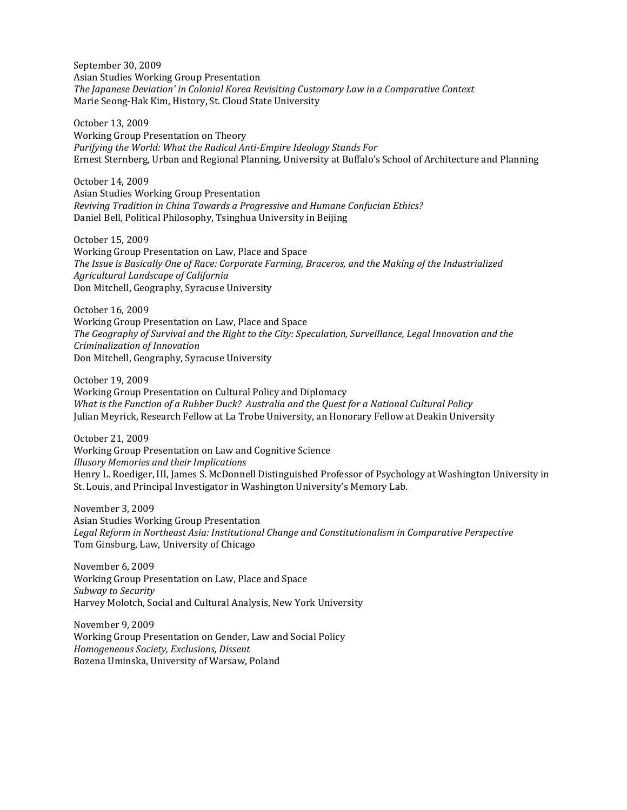September 30, 2009 Asian Studies Working Group Presentation *The Japanese Deviation' in Colonial Korea Revisiting Customary Law in a Comparative Context* Marie Seong-Hak Kim, History, St. Cloud State University

October 13, 2009 Working Group Presentation on Theory *Purifying the World: What the Radical Anti-Empire Ideology Stands For* Ernest Sternberg, Urban and Regional Planning, University at Buffalo's School of Architecture and Planning

October 14, 2009 Asian Studies Working Group Presentation *Reviving Tradition in China Towards a Progressive and Humane Confucian Ethics?* Daniel Bell, Political Philosophy, Tsinghua University in Beijing

October 15, 2009 Working Group Presentation on Law, Place and Space *The Issue is Basically One of Race: Corporate Farming, Braceros, and the Making of the Industrialized Agricultural Landscape of California* Don Mitchell, Geography, Syracuse University

October 16, 2009 Working Group Presentation on Law, Place and Space *The Geography of Survival and the Right to the City: Speculation, Surveillance, Legal Innovation and the Criminalization of Innovation* Don Mitchell, Geography, Syracuse University

October 19, 2009 Working Group Presentation on Cultural Policy and Diplomacy *What is the Function of a Rubber Duck? Australia and the Quest for a National Cultural Policy* Julian Meyrick, Research Fellow at La Trobe University, an Honorary Fellow at Deakin University

October 21, 2009 Working Group Presentation on Law and Cognitive Science *Illusory Memories and their Implications* Henry L. Roediger, III, James S. McDonnell Distinguished Professor of Psychology at Washington University in St. Louis, and Principal Investigator in Washington University's Memory Lab.

November 3, 2009 Asian Studies Working Group Presentation *Legal Reform in Northeast Asia: Institutional Change and Constitutionalism in Comparative Perspective* Tom Ginsburg, Law, University of Chicago

November 6, 2009 Working Group Presentation on Law, Place and Space *Subway to Security* Harvey Molotch, Social and Cultural Analysis, New York University

November 9, 2009 Working Group Presentation on Gender, Law and Social Policy *Homogeneous Society, Exclusions, Dissent* Bozena Uminska, University of Warsaw, Poland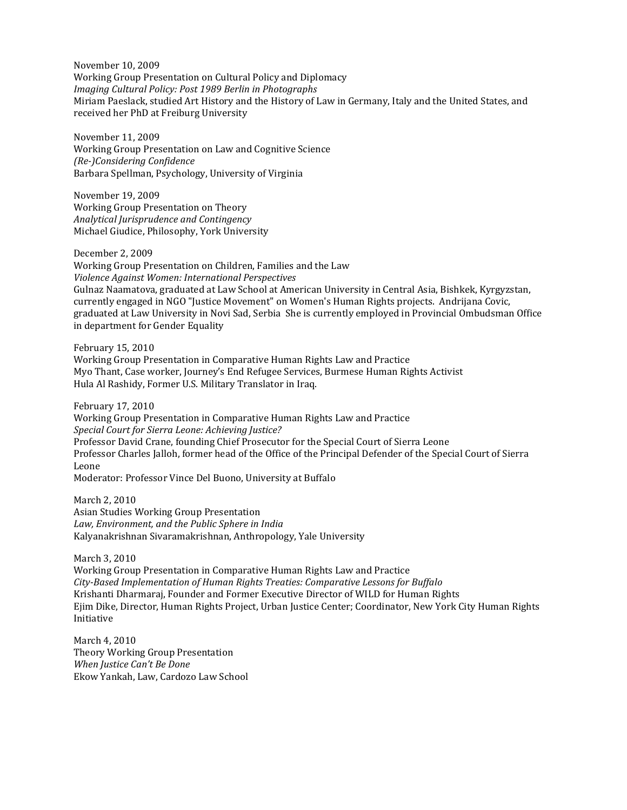November 10, 2009 Working Group Presentation on Cultural Policy and Diplomacy *Imaging Cultural Policy: Post 1989 Berlin in Photographs* Miriam Paeslack, studied Art History and the History of Law in Germany, Italy and the United States, and received her PhD at Freiburg University

November 11, 2009 Working Group Presentation on Law and Cognitive Science *(Re-)Considering Confidence* Barbara Spellman, Psychology, University of Virginia

November 19, 2009 Working Group Presentation on Theory *Analytical Jurisprudence and Contingency* Michael Giudice, Philosophy, York University

December 2, 2009 Working Group Presentation on Children, Families and the Law *Violence Against Women: International Perspectives* Gulnaz Naamatova, graduated at Law School at American University in Central Asia, Bishkek, Kyrgyzstan, currently engaged in NGO "Justice Movement" on Women's Human Rights projects. Andrijana Covic, graduated at Law University in Novi Sad, Serbia She is currently employed in Provincial Ombudsman Office in department for Gender Equality

February 15, 2010

Working Group Presentation in Comparative Human Rights Law and Practice Myo Thant, Case worker, Journey's End Refugee Services, Burmese Human Rights Activist Hula Al Rashidy, Former U.S. Military Translator in Iraq.

February 17, 2010

Working Group Presentation in Comparative Human Rights Law and Practice *Special Court for Sierra Leone: Achieving Justice?* Professor David Crane, founding Chief Prosecutor for the Special Court of Sierra Leone Professor Charles Jalloh, former head of the Office of the Principal Defender of the Special Court of Sierra Leone

Moderator: Professor Vince Del Buono, University at Buffalo

March 2, 2010 Asian Studies Working Group Presentation *Law, Environment, and the Public Sphere in India* Kalyanakrishnan Sivaramakrishnan, Anthropology, Yale University

March 3, 2010

Working Group Presentation in Comparative Human Rights Law and Practice *City-Based Implementation of Human Rights Treaties: Comparative Lessons for Buffalo* Krishanti Dharmaraj, Founder and Former Executive Director of WILD for Human Rights Ejim Dike, Director, Human Rights Project, Urban Justice Center; Coordinator, New York City Human Rights Initiative

March 4, 2010 Theory Working Group Presentation *When Justice Can't Be Done* Ekow Yankah, Law, Cardozo Law School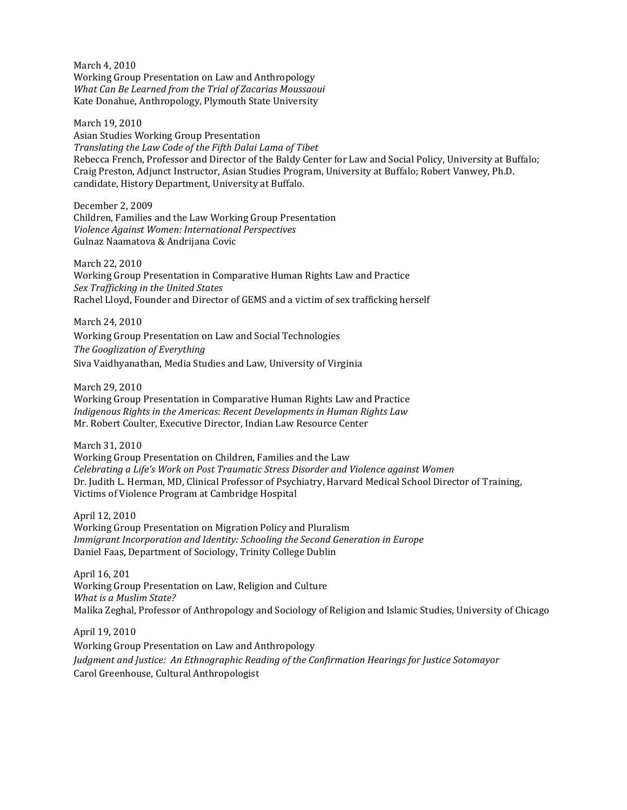March 4, 2010 Working Group Presentation on Law and Anthropology *What Can Be Learned from the Trial of Zacarias Moussaoui* Kate Donahue, Anthropology, Plymouth State University

March 19, 2010 Asian Studies Working Group Presentation *Translating the Law Code of the Fifth Dalai Lama of Tibet* Rebecca French, Professor and Director of the Baldy Center for Law and Social Policy, University at Buffalo; Craig Preston, Adjunct Instructor, Asian Studies Program, University at Buffalo; Robert Vanwey, Ph.D. candidate, History Department, University at Buffalo.

December 2, 2009 Children, Families and the Law Working Group Presentation *Violence Against Women: International Perspectives*  Gulnaz Naamatova & Andrijana Covic

March 22, 2010 Working Group Presentation in Comparative Human Rights Law and Practice *Sex Trafficking in the United States* Rachel Lloyd, Founder and Director of GEMS and a victim of sex trafficking herself

March 24, 2010 Working Group Presentation on Law and Social Technologies *The Googlization of Everything* Siva Vaidhyanathan, Media Studies and Law, University of Virginia

March 29, 2010 Working Group Presentation in Comparative Human Rights Law and Practice *Indigenous Rights in the Americas: Recent Developments in Human Rights Law* Mr. Robert Coulter, Executive Director, Indian Law Resource Center

March 31, 2010 Working Group Presentation on Children, Families and the Law *Celebrating a Life's Work on Post Traumatic Stress Disorder and Violence against Women* Dr. Judith L. Herman, MD, Clinical Professor of Psychiatry, Harvard Medical School Director of Training, Victims of Violence Program at Cambridge Hospital

April 12, 2010 Working Group Presentation on Migration Policy and Pluralism *Immigrant Incorporation and Identity: Schooling the Second Generation in Europe* Daniel Faas, Department of Sociology, Trinity College Dublin

April 16, 201 Working Group Presentation on Law, Religion and Culture *What is a Muslim State?* Malika Zeghal, Professor of Anthropology and Sociology of Religion and Islamic Studies, University of Chicago

April 19, 2010 Working Group Presentation on Law and Anthropology *Judgment and Justice: An Ethnographic Reading of the Confirmation Hearings for Justice Sotomayor* Carol Greenhouse, Cultural Anthropologist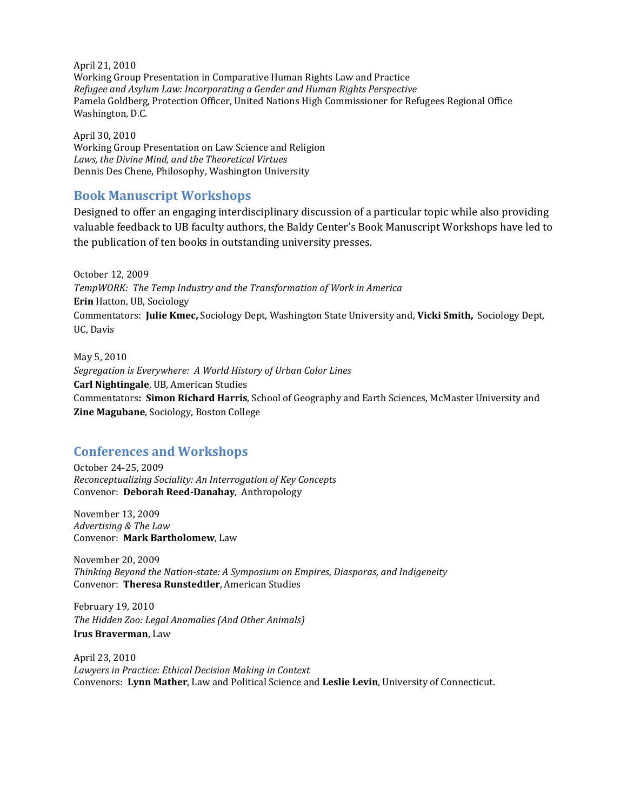April 21, 2010 Working Group Presentation in Comparative Human Rights Law and Practice *Refugee and Asylum Law: Incorporating a Gender and Human Rights Perspective* Pamela Goldberg, Protection Officer, United Nations High Commissioner for Refugees Regional Office Washington, D.C.

April 30, 2010 Working Group Presentation on Law Science and Religion *Laws, the Divine Mind, and the Theoretical Virtues* Dennis Des Chene, Philosophy, Washington University

## **Book Manuscript Workshops**

Designed to offer an engaging interdisciplinary discussion of a particular topic while also providing valuable feedback to UB faculty authors, the Baldy Center's Book Manuscript Workshops have led to the publication of ten books in outstanding university presses.

October 12, 2009 *TempWORK: The Temp Industry and the Transformation of Work in America* **Erin** Hatton, UB, Sociology Commentators: **Julie Kmec,** Sociology Dept, Washington State University and, **Vicki Smith,** Sociology Dept, UC, Davis

May 5, 2010 *Segregation is Everywhere: A World History of Urban Color Lines* **Carl Nightingale**, UB, American Studies Commentators**: Simon Richard Harris**, School of Geography and Earth Sciences, McMaster University and **Zine Magubane**, Sociology, Boston College

## **Conferences and Workshops**

October 24-25, 2009 *Reconceptualizing Sociality: An Interrogation of Key Concepts* Convenor: **Deborah Reed-Danahay**, Anthropology

November 13, 2009 *Advertising & The Law* Convenor: **Mark Bartholomew**, Law

November 20, 2009 *Thinking Beyond the Nation-state: A Symposium on Empires, Diasporas, and Indigeneity* Convenor: **Theresa Runstedtler**, American Studies

February 19, 2010 *The Hidden Zoo: Legal Anomalies (And Other Animals)* **Irus Braverman**, Law

April 23, 2010 *Lawyers in Practice: Ethical Decision Making in Context* Convenors: **Lynn Mather**, Law and Political Science and **Leslie Levin**, University of Connecticut.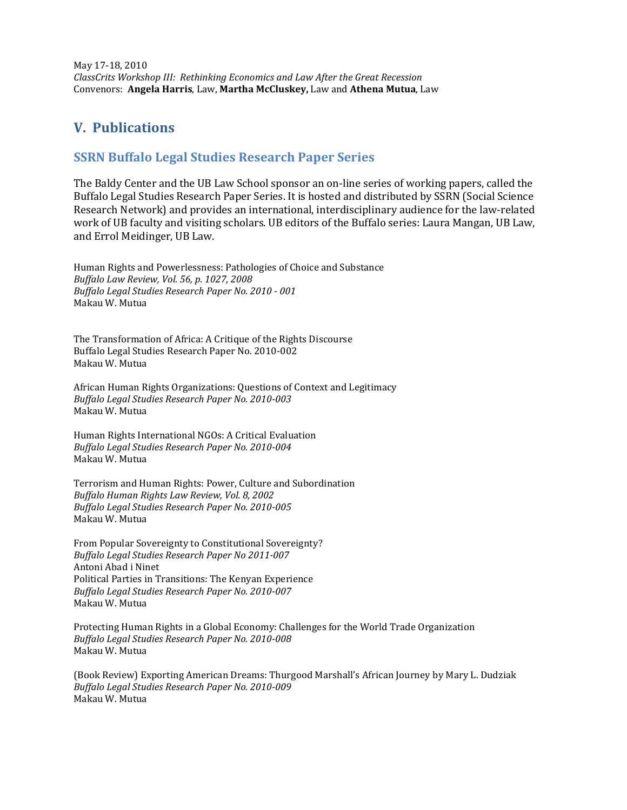May 17-18, 2010 *ClassCrits Workshop III: Rethinking Economics and Law After the Great Recession* Convenors: **Angela Harris**, Law, **Martha McCluskey,** Law and **Athena Mutua**, Law

# **V. Publications**

## **SSRN Buffalo Legal Studies Research Paper Series**

The Baldy Center and the UB Law School sponsor an on-line series of working papers, called the Buffalo Legal Studies Research Paper Series. It is hosted and distributed by SSRN (Social Science Research Network) and provides an international, interdisciplinary audience for the law-related work of UB faculty and visiting scholars. UB editors of the Buffalo series: Laura Mangan, UB Law, and Errol Meidinger, UB Law.

Human Rights and Powerlessness: Pathologies of Choice and Substance *[Buffalo Law Review, Vol. 56, p. 1027, 2008](http://papers.ssrn.com/sol3/papers.cfm?abstract_id=1526766##) [Buffalo Legal Studies Research Paper No. 2010 -](http://papers.ssrn.com/sol3/papers.cfm?abstract_id=1526766##) 001* Makau W. Mutua

The Transformation of Africa: A Critique of the Rights Discourse [Buffalo Legal Studies Research Paper No. 2010-002](http://papers.ssrn.com/sol3/papers.cfm?abstract_id=1526734##) Makau W. Mutua

African Human Rights Organizations: Questions of Context and Legitimacy *[Buffalo Legal Studies Research Paper No. 2010-003](http://papers.ssrn.com/sol3/papers.cfm?abstract_id=1527203##)* Makau W. Mutua

Human Rights International NGOs: A Critical Evaluation *[Buffalo Legal Studies Research Paper No. 2010-004](http://papers.ssrn.com/sol3/papers.cfm?abstract_id=1527213##)* Makau W. Mutua

Terrorism and Human Rights: Power, Culture and Subordination *[Buffalo Human Rights Law Review, Vol. 8, 2002](http://papers.ssrn.com/sol3/papers.cfm?abstract_id=1527864##) [Buffalo Legal Studies Research Paper No. 2010-005](http://papers.ssrn.com/sol3/papers.cfm?abstract_id=1527864##)* Makau W. Mutua

From Popular Sovereignty to Constitutional Sovereignty? *Buffalo Legal Studies Research Paper No 2011-007* Antoni Abad i Ninet Political Parties in Transitions: The Kenyan Experience *[Buffalo Legal Studies Research Paper No. 2010-007](http://papers.ssrn.com/sol3/papers.cfm?abstract_id=1533530##)* Makau W. Mutua

Protecting Human Rights in a Global Economy: Challenges for the World Trade Organization *[Buffalo Legal Studies Research Paper No. 2010-008](http://papers.ssrn.com/sol3/papers.cfm?abstract_id=1533544##)* Makau W. Mutua

(Book Review) Exporting American Dreams: Thurgood Marshall's African Journey by Mary L. Dudziak *[Buffalo Legal Studies Research Paper No. 2010-009](http://papers.ssrn.com/sol3/papers.cfm?abstract_id=1533449##)* Makau W. Mutua